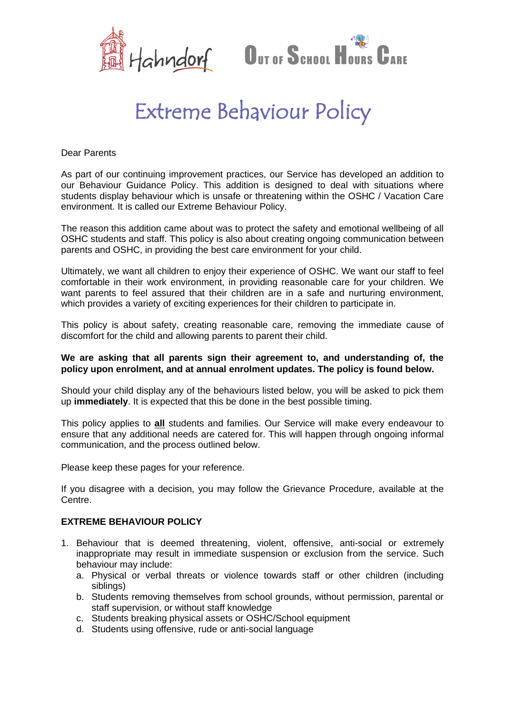



## Extreme Behaviour Policy

Dear Parents

As part of our continuing improvement practices, our Service has developed an addition to our Behaviour Guidance Policy. This addition is designed to deal with situations where students display behaviour which is unsafe or threatening within the OSHC / Vacation Care environment. It is called our Extreme Behaviour Policy.

The reason this addition came about was to protect the safety and emotional wellbeing of all OSHC students and staff. This policy is also about creating ongoing communication between parents and OSHC, in providing the best care environment for your child.

Ultimately, we want all children to enjoy their experience of OSHC. We want our staff to feel comfortable in their work environment, in providing reasonable care for your children. We want parents to feel assured that their children are in a safe and nurturing environment, which provides a variety of exciting experiences for their children to participate in.

This policy is about safety, creating reasonable care, removing the immediate cause of discomfort for the child and allowing parents to parent their child.

## **We are asking that all parents sign their agreement to, and understanding of, the policy upon enrolment, and at annual enrolment updates. The policy is found below.**

Should your child display any of the behaviours listed below, you will be asked to pick them up **immediately**. It is expected that this be done in the best possible timing.

This policy applies to **all** students and families. Our Service will make every endeavour to ensure that any additional needs are catered for. This will happen through ongoing informal communication, and the process outlined below.

Please keep these pages for your reference.

If you disagree with a decision, you may follow the Grievance Procedure, available at the Centre.

## **EXTREME BEHAVIOUR POLICY**

- 1. Behaviour that is deemed threatening, violent, offensive, anti-social or extremely inappropriate may result in immediate suspension or exclusion from the service. Such behaviour may include:
	- a. Physical or verbal threats or violence towards staff or other children (including siblings)
	- b. Students removing themselves from school grounds, without permission, parental or staff supervision, or without staff knowledge
	- c. Students breaking physical assets or OSHC/School equipment
	- d. Students using offensive, rude or anti-social language